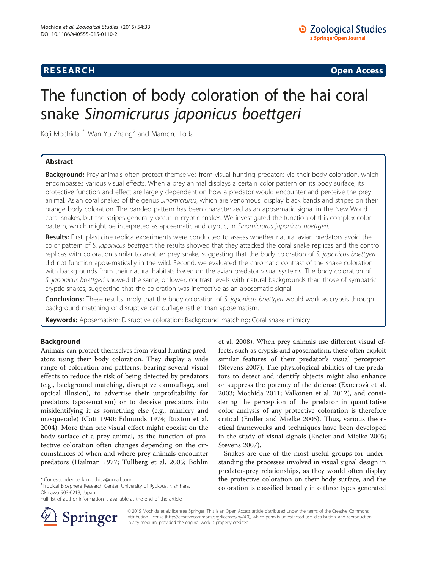## **RESEARCH CHINESE ARCH CHINESE ARCH CHINESE ARCH <b>CHINESE ARCH**

# The function of body coloration of the hai coral snake Sinomicrurus japonicus boettgeri

Koji Mochida<sup>1\*</sup>, Wan-Yu Zhang<sup>2</sup> and Mamoru Toda<sup>1</sup>

## Abstract

Background: Prey animals often protect themselves from visual hunting predators via their body coloration, which encompasses various visual effects. When a prey animal displays a certain color pattern on its body surface, its protective function and effect are largely dependent on how a predator would encounter and perceive the prey animal. Asian coral snakes of the genus Sinomicrurus, which are venomous, display black bands and stripes on their orange body coloration. The banded pattern has been characterized as an aposematic signal in the New World coral snakes, but the stripes generally occur in cryptic snakes. We investigated the function of this complex color pattern, which might be interpreted as aposematic and cryptic, in Sinomicrurus japonicus boettgeri.

Results: First, plasticine replica experiments were conducted to assess whether natural avian predators avoid the color pattern of S. japonicus boettgeri; the results showed that they attacked the coral snake replicas and the control replicas with coloration similar to another prey snake, suggesting that the body coloration of S. japonicus boettgeri did not function aposematically in the wild. Second, we evaluated the chromatic contrast of the snake coloration with backgrounds from their natural habitats based on the avian predator visual systems. The body coloration of S. japonicus boettgeri showed the same, or lower, contrast levels with natural backgrounds than those of sympatric cryptic snakes, suggesting that the coloration was ineffective as an aposematic signal.

Conclusions: These results imply that the body coloration of S. japonicus boettgeri would work as crypsis through background matching or disruptive camouflage rather than aposematism.

Keywords: Aposematism; Disruptive coloration; Background matching; Coral snake mimicry

## Background

Animals can protect themselves from visual hunting predators using their body coloration. They display a wide range of coloration and patterns, bearing several visual effects to reduce the risk of being detected by predators (e.g., background matching, disruptive camouflage, and optical illusion), to advertise their unprofitability for predators (aposematism) or to deceive predators into misidentifying it as something else (e.g., mimicry and masquerade) (Cott [1940;](#page-5-0) Edmunds [1974](#page-5-0); Ruxton et al. [2004\)](#page-5-0). More than one visual effect might coexist on the body surface of a prey animal, as the function of protective coloration often changes depending on the circumstances of when and where prey animals encounter predators (Hailman [1977;](#page-5-0) Tullberg et al. [2005;](#page-5-0) Bohlin

<sup>1</sup>Tropical Biosphere Research Center, University of Ryukyus, Nishihara, Okinawa 903-0213, Japan

Full list of author information is available at the end of the article



et al. [2008\)](#page-5-0). When prey animals use different visual effects, such as crypsis and aposematism, these often exploit similar features of their predator's visual perception (Stevens [2007\)](#page-5-0). The physiological abilities of the predators to detect and identify objects might also enhance or suppress the potency of the defense (Exnerovà et al. [2003;](#page-5-0) Mochida [2011](#page-5-0); Valkonen et al. [2012\)](#page-5-0), and considering the perception of the predator in quantitative color analysis of any protective coloration is therefore critical (Endler and Mielke [2005\)](#page-5-0). Thus, various theoretical frameworks and techniques have been developed in the study of visual signals (Endler and Mielke [2005](#page-5-0); Stevens [2007](#page-5-0)).

Snakes are one of the most useful groups for understanding the processes involved in visual signal design in predator-prey relationships, as they would often display the protective coloration on their body surface, and the coloration is classified broadly into three types generated

© 2015 Mochida et al.; licensee Springer. This is an Open Access article distributed under the terms of the Creative Commons Attribution License [\(http://creativecommons.org/licenses/by/4.0\)](http://creativecommons.org/licenses/by/4.0), which permits unrestricted use, distribution, and reproduction in any medium, provided the original work is properly credited.

<sup>\*</sup> Correspondence: [kj.mochida@gmail.com](mailto:kj.mochida@gmail.com) <sup>1</sup>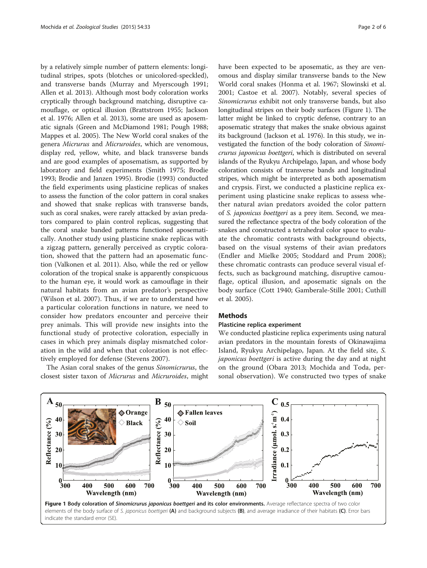<span id="page-1-0"></span>by a relatively simple number of pattern elements: longitudinal stripes, spots (blotches or unicolored-speckled), and transverse bands (Murray and Myerscough [1991](#page-5-0); Allen et al. [2013\)](#page-5-0). Although most body coloration works cryptically through background matching, disruptive camouflage, or optical illusion (Brattstrom [1955;](#page-5-0) Jackson et al. [1976;](#page-5-0) Allen et al. [2013](#page-5-0)), some are used as aposematic signals (Green and McDiamond [1981;](#page-5-0) Pough [1988](#page-5-0); Mappes et al. [2005](#page-5-0)). The New World coral snakes of the genera Micrurus and Micruroides, which are venomous, display red, yellow, white, and black transverse bands and are good examples of aposematism, as supported by laboratory and field experiments (Smith [1975](#page-5-0); Brodie [1993](#page-5-0); Brodie and Janzen [1995\)](#page-5-0). Brodie ([1993](#page-5-0)) conducted the field experiments using plasticine replicas of snakes to assess the function of the color pattern in coral snakes and showed that snake replicas with transverse bands, such as coral snakes, were rarely attacked by avian predators compared to plain control replicas, suggesting that the coral snake banded patterns functioned aposematically. Another study using plasticine snake replicas with a zigzag pattern, generally perceived as cryptic coloration, showed that the pattern had an aposematic function (Valkonen et al. [2011](#page-5-0)). Also, while the red or yellow coloration of the tropical snake is apparently conspicuous to the human eye, it would work as camouflage in their natural habitats from an avian predator's perspective (Wilson et al. [2007\)](#page-5-0). Thus, if we are to understand how a particular coloration functions in nature, we need to consider how predators encounter and perceive their prey animals. This will provide new insights into the functional study of protective coloration, especially in cases in which prey animals display mismatched coloration in the wild and when that coloration is not effectively employed for defense (Stevens [2007](#page-5-0)).

The Asian coral snakes of the genus Sinomicrurus, the closest sister taxon of Micrurus and Micruroides, might have been expected to be aposematic, as they are venomous and display similar transverse bands to the New World coral snakes (Honma et al. [1967](#page-5-0); Slowinski et al. [2001](#page-5-0); Castoe et al. [2007](#page-5-0)). Notably, several species of Sinomicrurus exhibit not only transverse bands, but also longitudinal stripes on their body surfaces (Figure 1). The latter might be linked to cryptic defense, contrary to an aposematic strategy that makes the snake obvious against its background (Jackson et al. [1976\)](#page-5-0). In this study, we investigated the function of the body coloration of Sinomicrurus japonicus boettgeri, which is distributed on several islands of the Ryukyu Archipelago, Japan, and whose body coloration consists of transverse bands and longitudinal stripes, which might be interpreted as both aposematism and crypsis. First, we conducted a plasticine replica experiment using plasticine snake replicas to assess whether natural avian predators avoided the color pattern of S. japonicus boettgeri as a prey item. Second, we measured the reflectance spectra of the body coloration of the snakes and constructed a tetrahedral color space to evaluate the chromatic contrasts with background objects, based on the visual systems of their avian predators (Endler and Mielke [2005](#page-5-0); Stoddard and Prum [2008](#page-5-0)); these chromatic contrasts can produce several visual effects, such as background matching, disruptive camouflage, optical illusion, and aposematic signals on the body surface (Cott [1940](#page-5-0); Gamberale-Stille [2001](#page-5-0); Cuthill et al. [2005\)](#page-5-0).

## **Methods**

#### Plasticine replica experiment

We conducted plasticine replica experiments using natural avian predators in the mountain forests of Okinawajima Island, Ryukyu Archipelago, Japan. At the field site, S. japonicus boettgeri is active during the day and at night on the ground (Obara [2013](#page-5-0); Mochida and Toda, personal observation). We constructed two types of snake

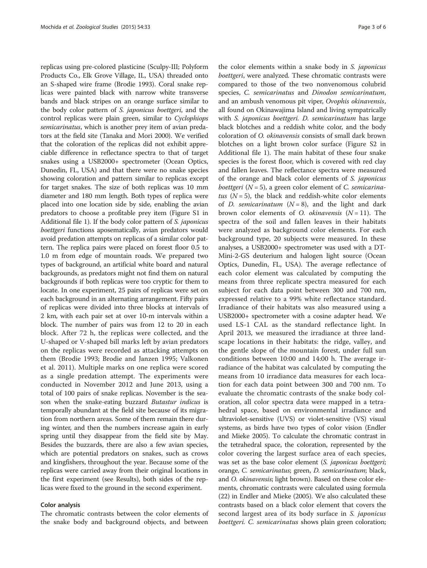replicas using pre-colored plasticine (Sculpy-III; Polyform Products Co., Elk Grove Village, IL, USA) threaded onto an S-shaped wire frame (Brodie [1993](#page-5-0)). Coral snake replicas were painted black with narrow white transverse bands and black stripes on an orange surface similar to the body color pattern of S. japonicus boettgeri, and the control replicas were plain green, similar to Cyclophiops semicarinatus, which is another prey item of avian predators at the field site (Tanaka and Mori [2000](#page-5-0)). We verified that the coloration of the replicas did not exhibit appreciable difference in reflectance spectra to that of target snakes using a USB2000+ spectrometer (Ocean Optics, Dunedin, FL, USA) and that there were no snake species showing coloration and pattern similar to replicas except for target snakes. The size of both replicas was 10 mm diameter and 180 mm length. Both types of replica were placed into one location side by side, enabling the avian predators to choose a profitable prey item (Figure S1 in Additional file [1\)](#page-4-0). If the body color pattern of S. japonicus boettgeri functions aposematically, avian predators would avoid predation attempts on replicas of a similar color pattern. The replica pairs were placed on forest floor 0.5 to 1.0 m from edge of mountain roads. We prepared two types of background, an artificial white board and natural backgrounds, as predators might not find them on natural backgrounds if both replicas were too cryptic for them to locate. In one experiment, 25 pairs of replicas were set on each background in an alternating arrangement. Fifty pairs of replicas were divided into three blocks at intervals of 2 km, with each pair set at over 10-m intervals within a block. The number of pairs was from 12 to 20 in each block. After 72 h, the replicas were collected, and the U-shaped or V-shaped bill marks left by avian predators on the replicas were recorded as attacking attempts on them (Brodie [1993;](#page-5-0) Brodie and Janzen [1995](#page-5-0); Valkonen et al. [2011](#page-5-0)). Multiple marks on one replica were scored as a single predation attempt. The experiments were conducted in November 2012 and June 2013, using a total of 100 pairs of snake replicas. November is the season when the snake-eating buzzard Butastur indicus is temporally abundant at the field site because of its migration from northern areas. Some of them remain there during winter, and then the numbers increase again in early spring until they disappear from the field site by May. Besides the buzzards, there are also a few avian species, which are potential predators on snakes, such as crows and kingfishers, throughout the year. Because some of the replicas were carried away from their original locations in the first experiment (see [Results](#page-3-0)), both sides of the replicas were fixed to the ground in the second experiment.

#### Color analysis

The chromatic contrasts between the color elements of the snake body and background objects, and between

the color elements within a snake body in S. japonicus boettgeri, were analyzed. These chromatic contrasts were compared to those of the two nonvenomous colubrid species, C. semicarinatus and Dinodon semicarinatum, and an ambush venomous pit viper, Ovophis okinavensis, all found on Okinawajima Island and living sympatrically with *S. japonicus boettgeri. D. semicarinatum* has large black blotches and a reddish white color, and the body coloration of O. okinavensis consists of small dark brown blotches on a light brown color surface (Figure S2 in Additional file [1\)](#page-4-0). The main habitat of these four snake species is the forest floor, which is covered with red clay and fallen leaves. The reflectance spectra were measured of the orange and black color elements of S. japonicus boettgeri ( $N = 5$ ), a green color element of C. semicarinatus  $(N = 5)$ , the black and reddish-white color elements of *D. semicarinatum*  $(N = 8)$ , and the light and dark brown color elements of O. okinavensis  $(N = 11)$ . The spectra of the soil and fallen leaves in their habitats were analyzed as background color elements. For each background type, 20 subjects were measured. In these analyses, a USB2000+ spectrometer was used with a DT-Mini-2-GS deuterium and halogen light source (Ocean Optics, Dunedin, FL, USA). The average reflectance of each color element was calculated by computing the means from three replicate spectra measured for each subject for each data point between 300 and 700 nm, expressed relative to a 99% white reflectance standard. Irradiance of their habitats was also measured using a USB2000+ spectrometer with a cosine adapter head. We used LS-1 CAL as the standard reflectance light. In April 2013, we measured the irradiance at three landscape locations in their habitats: the ridge, valley, and the gentle slope of the mountain forest, under full sun conditions between 10:00 and 14:00 h. The average irradiance of the habitat was calculated by computing the means from 10 irradiance data measures for each location for each data point between 300 and 700 nm. To evaluate the chromatic contrasts of the snake body coloration, all color spectra data were mapped in a tetrahedral space, based on environmental irradiance and ultraviolet-sensitive (UVS) or violet-sensitive (VS) visual systems, as birds have two types of color vision (Endler and Mieke [2005](#page-5-0)). To calculate the chromatic contrast in the tetrahedral space, the coloration, represented by the color covering the largest surface area of each species, was set as the base color element (S. *japonicus boettgeri*; orange, C. semicarinatus; green, D. semicarinatum; black, and *O. okinavensis*; light brown). Based on these color elements, chromatic contrasts were calculated using formula (22) in Endler and Mieke [\(2005](#page-5-0)). We also calculated these contrasts based on a black color element that covers the second largest area of its body surface in S. *japonicus* boettgeri. C. semicarinatus shows plain green coloration;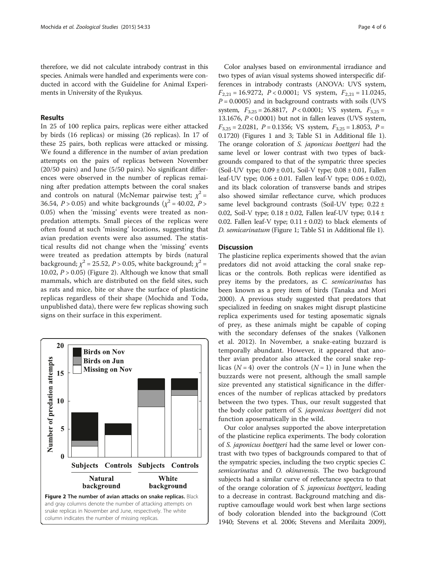<span id="page-3-0"></span>therefore, we did not calculate intrabody contrast in this species. Animals were handled and experiments were conducted in accord with the Guideline for Animal Experiments in University of the Ryukyus.

## Results

In 25 of 100 replica pairs, replicas were either attacked by birds (16 replicas) or missing (26 replicas). In 17 of these 25 pairs, both replicas were attacked or missing. We found a difference in the number of avian predation attempts on the pairs of replicas between November (20/50 pairs) and June (5/50 pairs). No significant differences were observed in the number of replicas remaining after predation attempts between the coral snakes and controls on natural (McNemar pairwise test;  $\chi^2$  = 36.54,  $P > 0.05$ ) and white backgrounds ( $\chi^2 = 40.02$ ,  $P >$ 0.05) when the 'missing' events were treated as nonpredation attempts. Small pieces of the replicas were often found at such 'missing' locations, suggesting that avian predation events were also assumed. The statistical results did not change when the 'missing' events were treated as predation attempts by birds (natural background;  $\chi^2$  = 25.52, *P* > 0.05, white background;  $\chi^2$  = 10.02,  $P > 0.05$ ) (Figure 2). Although we know that small mammals, which are distributed on the field sites, such as rats and mice, bite or shave the surface of plasticine replicas regardless of their shape (Mochida and Toda, unpublished data), there were few replicas showing such signs on their surface in this experiment.



Color analyses based on environmental irradiance and two types of avian visual systems showed interspecific differences in intrabody contrasts (ANOVA: UVS system,  $F_{2,21} = 16.9272$ ,  $P < 0.0001$ ; VS system,  $F_{2,21} = 11.0245$ ,  $P = 0.0005$ ) and in background contrasts with soils (UVS) system,  $F_{3,25} = 26.8817$ ,  $P < 0.0001$ ; VS system,  $F_{3,25} =$ 13.1676,  $P < 0.0001$ ) but not in fallen leaves (UVS system,  $F_{3,25} = 2.0281$ ,  $P = 0.1356$ ; VS system,  $F_{3,25} = 1.8053$ ,  $P =$ 0.1720) (Figures [1](#page-1-0) and [3](#page-4-0); Table S1 in Additional file [1](#page-4-0)). The orange coloration of S. japonicus boettgeri had the same level or lower contrast with two types of backgrounds compared to that of the sympatric three species (Soil-UV type;  $0.09 \pm 0.01$ , Soil-V type;  $0.08 \pm 0.01$ , Fallen leaf-UV type;  $0.06 \pm 0.01$ . Fallen leaf-V type;  $0.06 \pm 0.02$ ), and its black coloration of transverse bands and stripes also showed similar reflectance curve, which produces same level background contrasts (Soil-UV type;  $0.22 \pm$ 0.02, Soil-V type;  $0.18 \pm 0.02$ , Fallen leaf-UV type;  $0.14 \pm$ 0.02. Fallen leaf-V type;  $0.11 \pm 0.02$ ) to black elements of D. semicarinatum (Figure [1;](#page-1-0) Table S1 in Additional file [1](#page-4-0)).

## **Discussion**

The plasticine replica experiments showed that the avian predators did not avoid attacking the coral snake replicas or the controls. Both replicas were identified as prey items by the predators, as C. semicarinatus has been known as a prey item of birds (Tanaka and Mori [2000](#page-5-0)). A previous study suggested that predators that specialized in feeding on snakes might disrupt plasticine replica experiments used for testing aposematic signals of prey, as these animals might be capable of coping with the secondary defenses of the snakes (Valkonen et al. [2012](#page-5-0)). In November, a snake-eating buzzard is temporally abundant. However, it appeared that another avian predator also attacked the coral snake replicas ( $N = 4$ ) over the controls ( $N = 1$ ) in June when the buzzards were not present, although the small sample size prevented any statistical significance in the differences of the number of replicas attacked by predators between the two types. Thus, our result suggested that the body color pattern of S. japonicus boettgeri did not function aposematically in the wild.

Our color analyses supported the above interpretation of the plasticine replica experiments. The body coloration of S. japonicus boettgeri had the same level or lower contrast with two types of backgrounds compared to that of the sympatric species, including the two cryptic species C. semicarinatus and O. okinavensis. The two background subjects had a similar curve of reflectance spectra to that of the orange coloration of S. japonicus boettgeri, leading to a decrease in contrast. Background matching and disruptive camouflage would work best when large sections of body coloration blended into the background (Cott [1940](#page-5-0); Stevens et al. [2006](#page-5-0); Stevens and Merilaita [2009](#page-5-0)),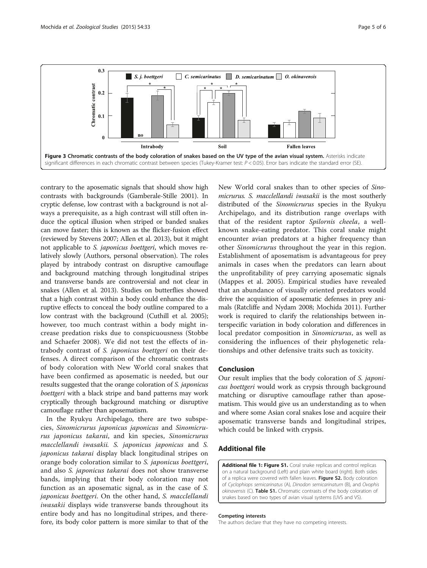<span id="page-4-0"></span>

contrary to the aposematic signals that should show high contrasts with backgrounds (Gamberale-Stille [2001\)](#page-5-0). In cryptic defense, low contrast with a background is not always a prerequisite, as a high contrast will still often induce the optical illusion when striped or banded snakes can move faster; this is known as the flicker-fusion effect (reviewed by Stevens [2007;](#page-5-0) Allen et al. [2013\)](#page-5-0), but it might not applicable to S. japonicus boettgeri, which moves relatively slowly (Authors, personal observation). The roles played by intrabody contrast on disruptive camouflage and background matching through longitudinal stripes and transverse bands are controversial and not clear in snakes (Allen et al. [2013](#page-5-0)). Studies on butterflies showed that a high contrast within a body could enhance the disruptive effects to conceal the body outline compared to a low contrast with the background (Cuthill et al. [2005](#page-5-0)); however, too much contrast within a body might increase predation risks due to conspicuousness (Stobbe and Schaefer [2008\)](#page-5-0). We did not test the effects of intrabody contrast of S. japonicus boettgeri on their defenses. A direct comparison of the chromatic contrasts of body coloration with New World coral snakes that have been confirmed as aposematic is needed, but our results suggested that the orange coloration of S. japonicus boettgeri with a black stripe and band patterns may work cryptically through background matching or disruptive camouflage rather than aposematism.

In the Ryukyu Archipelago, there are two subspecies, Sinomicrurus japonicus japonicus and Sinomicrurus japonicus takarai, and kin species, Sinomicrurus macclellandi iwasakii. S. japonicus japonicus and S. japonicus takarai display black longitudinal stripes on orange body coloration similar to S. japonicus boettgeri, and also S. japonicus takarai does not show transverse bands, implying that their body coloration may not function as an aposematic signal, as in the case of S. japonicus boettgeri. On the other hand, S. macclellandi iwasakii displays wide transverse bands throughout its entire body and has no longitudinal stripes, and therefore, its body color pattern is more similar to that of the New World coral snakes than to other species of Sinomicrurus. S. macclellandi iwasakii is the most southerly distributed of the Sinomicrurus species in the Ryukyu Archipelago, and its distribution range overlaps with that of the resident raptor Spilornis cheela, a wellknown snake-eating predator. This coral snake might encounter avian predators at a higher frequency than other Sinomicrurus throughout the year in this region. Establishment of aposematism is advantageous for prey animals in cases when the predators can learn about the unprofitability of prey carrying aposematic signals (Mappes et al. [2005](#page-5-0)). Empirical studies have revealed that an abundance of visually oriented predators would drive the acquisition of aposematic defenses in prey animals (Ratcliffe and Nydam [2008](#page-5-0); Mochida [2011\)](#page-5-0). Further work is required to clarify the relationships between interspecific variation in body coloration and differences in local predator composition in Sinomicrurus, as well as considering the influences of their phylogenetic relationships and other defensive traits such as toxicity.

### Conclusion

Our result implies that the body coloration of S. japonicus boettgeri would work as crypsis through background matching or disruptive camouflage rather than aposematism. This would give us an understanding as to when and where some Asian coral snakes lose and acquire their aposematic transverse bands and longitudinal stripes, which could be linked with crypsis.

## Additional file

[Additional file 1: Figure S1.](http://www.zoologicalstudies.com/content/supplementary/s40555-015-0110-2-s1.docx) Coral snake replicas and control replicas on a natural background (Left) and plain white board (right). Both sides of a replica were covered with fallen leaves. Figure S2. Body coloration of Cyclophiops semicarinatus (A), Dinodon semicarinatum (B), and Ovophis okinavensis (C). Table S1. Chromatic contrasts of the body coloration of snakes based on two types of avian visual systems (UVS and VS).

#### Competing interests

The authors declare that they have no competing interests.